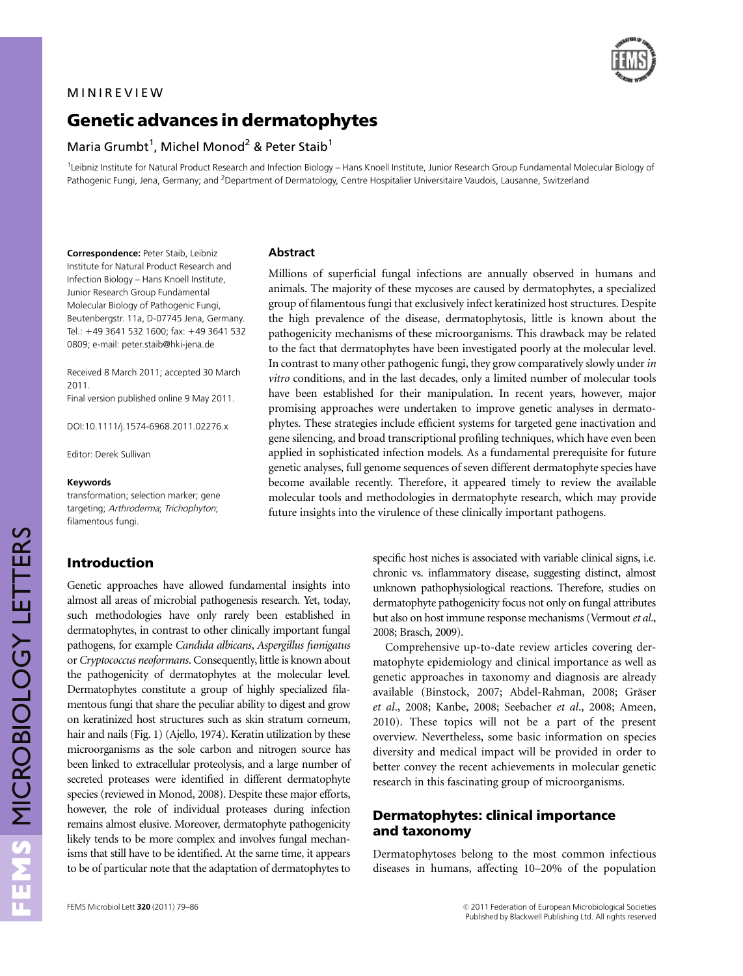

### MINIREVIEW

# Genetic advances in dermatophytes

## Maria Grumbt<sup>1</sup>, Michel Monod<sup>2</sup> & Peter Staib<sup>1</sup>

<sup>1</sup>Leibniz Institute for Natural Product Research and Infection Biology - Hans Knoell Institute, Junior Research Group Fundamental Molecular Biology of Pathogenic Fungi, Jena, Germany; and <sup>2</sup>Department of Dermatology, Centre Hospitalier Universitaire Vaudois, Lausanne, Switzerland

Correspondence: Peter Staib, Leibniz Institute for Natural Product Research and Infection Biology – Hans Knoell Institute, Junior Research Group Fundamental Molecular Biology of Pathogenic Fungi, Beutenbergstr. 11a, D-07745 Jena, Germany. Tel.: +49 3641 532 1600; fax: +49 3641 532 0809; e-mail: [peter.staib@hki-jena.de](mailto:peter.staib@hki-jena.de)

Received 8 March 2011; accepted 30 March 2011.

Final version published online 9 May 2011.

DOI:10.1111/j.1574-6968.2011.02276.x

Editor: Derek Sullivan

#### Keywords

transformation; selection marker; gene targeting; Arthroderma; Trichophyton; filamentous fungi.

### Introduction

Genetic approaches have allowed fundamental insights into almost all areas of microbial pathogenesis research. Yet, today, such methodologies have only rarely been established in dermatophytes, in contrast to other clinically important fungal pathogens, for example Candida albicans, Aspergillus fumigatus or Cryptococcus neoformans. Consequently, little is known about the pathogenicity of dermatophytes at the molecular level. Dermatophytes constitute a group of highly specialized filamentous fungi that share the peculiar ability to digest and grow on keratinized host structures such as skin stratum corneum, hair and nails (Fig. 1) (Ajello, 1974). Keratin utilization by these microorganisms as the sole carbon and nitrogen source has been linked to extracellular proteolysis, and a large number of secreted proteases were identified in different dermatophyte species (reviewed in Monod, 2008). Despite these major efforts, however, the role of individual proteases during infection remains almost elusive. Moreover, dermatophyte pathogenicity likely tends to be more complex and involves fungal mechanisms that still have to be identified. At the same time, it appears to be of particular note that the adaptation of dermatophytes to

#### Abstract

Millions of superficial fungal infections are annually observed in humans and animals. The majority of these mycoses are caused by dermatophytes, a specialized group of filamentous fungi that exclusively infect keratinized host structures. Despite the high prevalence of the disease, dermatophytosis, little is known about the pathogenicity mechanisms of these microorganisms. This drawback may be related to the fact that dermatophytes have been investigated poorly at the molecular level. In contrast to many other pathogenic fungi, they grow comparatively slowly under in vitro conditions, and in the last decades, only a limited number of molecular tools have been established for their manipulation. In recent years, however, major promising approaches were undertaken to improve genetic analyses in dermatophytes. These strategies include efficient systems for targeted gene inactivation and gene silencing, and broad transcriptional profiling techniques, which have even been applied in sophisticated infection models. As a fundamental prerequisite for future genetic analyses, full genome sequences of seven different dermatophyte species have become available recently. Therefore, it appeared timely to review the available molecular tools and methodologies in dermatophyte research, which may provide future insights into the virulence of these clinically important pathogens.

> specific host niches is associated with variable clinical signs, i.e. chronic vs. inflammatory disease, suggesting distinct, almost unknown pathophysiological reactions. Therefore, studies on dermatophyte pathogenicity focus not only on fungal attributes but also on host immune response mechanisms (Vermout et al., 2008; Brasch, 2009).

> Comprehensive up-to-date review articles covering dermatophyte epidemiology and clinical importance as well as genetic approaches in taxonomy and diagnosis are already available (Binstock, 2007; Abdel-Rahman, 2008; Graser ¨ et al., 2008; Kanbe, 2008; Seebacher et al., 2008; Ameen, 2010). These topics will not be a part of the present overview. Nevertheless, some basic information on species diversity and medical impact will be provided in order to better convey the recent achievements in molecular genetic research in this fascinating group of microorganisms.

## Dermatophytes: clinical importance and taxonomy

Dermatophytoses belong to the most common infectious diseases in humans, affecting 10–20% of the population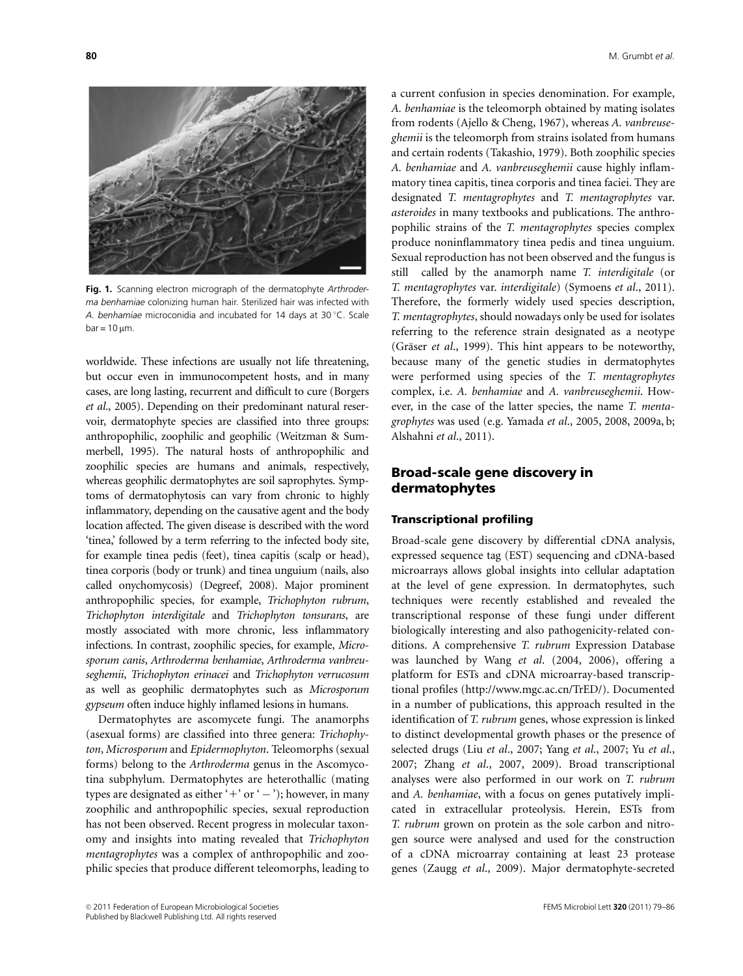

Fig. 1. Scanning electron micrograph of the dermatophyte Arthroderma benhamiae colonizing human hair. Sterilized hair was infected with A. benhamiae microconidia and incubated for 14 days at 30  $\degree$ C. Scale  $bar = 10 \mu m$ .

worldwide. These infections are usually not life threatening, but occur even in immunocompetent hosts, and in many cases, are long lasting, recurrent and difficult to cure (Borgers et al., 2005). Depending on their predominant natural reservoir, dermatophyte species are classified into three groups: anthropophilic, zoophilic and geophilic (Weitzman & Summerbell, 1995). The natural hosts of anthropophilic and zoophilic species are humans and animals, respectively, whereas geophilic dermatophytes are soil saprophytes. Symptoms of dermatophytosis can vary from chronic to highly inflammatory, depending on the causative agent and the body location affected. The given disease is described with the word 'tinea,' followed by a term referring to the infected body site, for example tinea pedis (feet), tinea capitis (scalp or head), tinea corporis (body or trunk) and tinea unguium (nails, also called onychomycosis) (Degreef, 2008). Major prominent anthropophilic species, for example, Trichophyton rubrum, Trichophyton interdigitale and Trichophyton tonsurans, are mostly associated with more chronic, less inflammatory infections. In contrast, zoophilic species, for example, Microsporum canis, Arthroderma benhamiae, Arthroderma vanbreuseghemii, Trichophyton erinacei and Trichophyton verrucosum as well as geophilic dermatophytes such as Microsporum gypseum often induce highly inflamed lesions in humans.

Dermatophytes are ascomycete fungi. The anamorphs (asexual forms) are classified into three genera: Trichophyton, Microsporum and Epidermophyton. Teleomorphs (sexual forms) belong to the Arthroderma genus in the Ascomycotina subphylum. Dermatophytes are heterothallic (mating types are designated as either '+' or '  $-$ '); however, in many zoophilic and anthropophilic species, sexual reproduction has not been observed. Recent progress in molecular taxonomy and insights into mating revealed that Trichophyton mentagrophytes was a complex of anthropophilic and zoophilic species that produce different teleomorphs, leading to a current confusion in species denomination. For example, A. benhamiae is the teleomorph obtained by mating isolates from rodents (Ajello & Cheng, 1967), whereas A. vanbreuseghemii is the teleomorph from strains isolated from humans and certain rodents (Takashio, 1979). Both zoophilic species A. benhamiae and A. vanbreuseghemii cause highly inflammatory tinea capitis, tinea corporis and tinea faciei. They are designated T. mentagrophytes and T. mentagrophytes var. asteroides in many textbooks and publications. The anthropophilic strains of the T. mentagrophytes species complex produce noninflammatory tinea pedis and tinea unguium. Sexual reproduction has not been observed and the fungus is still called by the anamorph name T. interdigitale (or T. mentagrophytes var. interdigitale) (Symoens et al., 2011). Therefore, the formerly widely used species description, T. mentagrophytes, should nowadays only be used for isolates referring to the reference strain designated as a neotype (Gräser *et al.*, 1999). This hint appears to be noteworthy, because many of the genetic studies in dermatophytes were performed using species of the T. mentagrophytes complex, i.e. A. benhamiae and A. vanbreuseghemii. However, in the case of the latter species, the name T. mentagrophytes was used (e.g. Yamada et al., 2005, 2008, 2009a, b; Alshahni et al., 2011).

### Broad-scale gene discovery in dermatophytes

### Transcriptional profiling

Broad-scale gene discovery by differential cDNA analysis, expressed sequence tag (EST) sequencing and cDNA-based microarrays allows global insights into cellular adaptation at the level of gene expression. In dermatophytes, such techniques were recently established and revealed the transcriptional response of these fungi under different biologically interesting and also pathogenicity-related conditions. A comprehensive T. rubrum Expression Database was launched by Wang et al. (2004, 2006), offering a platform for ESTs and cDNA microarray-based transcriptional profiles [\(http://www.mgc.ac.cn/TrED/\)](http://www.mgc.ac.cn/TrED/). Documented in a number of publications, this approach resulted in the identification of T. rubrum genes, whose expression is linked to distinct developmental growth phases or the presence of selected drugs (Liu et al., 2007; Yang et al., 2007; Yu et al., 2007; Zhang et al., 2007, 2009). Broad transcriptional analyses were also performed in our work on T. rubrum and A. benhamiae, with a focus on genes putatively implicated in extracellular proteolysis. Herein, ESTs from T. rubrum grown on protein as the sole carbon and nitrogen source were analysed and used for the construction of a cDNA microarray containing at least 23 protease genes (Zaugg et al., 2009). Major dermatophyte-secreted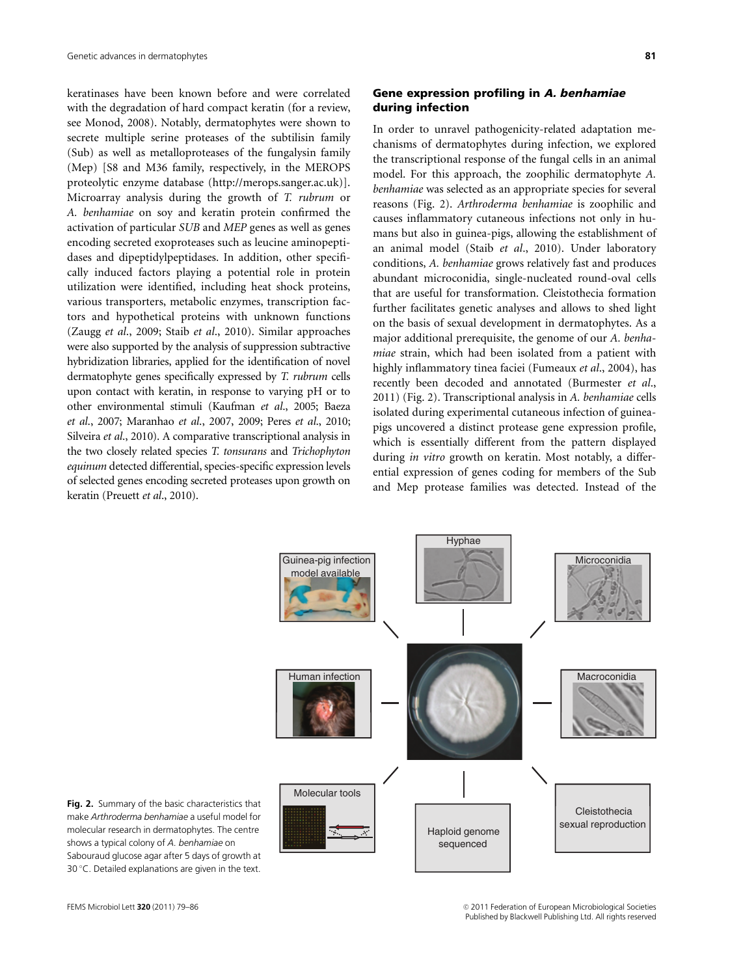keratinases have been known before and were correlated with the degradation of hard compact keratin (for a review, see Monod, 2008). Notably, dermatophytes were shown to secrete multiple serine proteases of the subtilisin family (Sub) as well as metalloproteases of the fungalysin family (Mep) [S8 and M36 family, respectively, in the MEROPS proteolytic enzyme database [\(http://merops.sanger.ac.uk\)](http://merops.sanger.ac.uk)]. Microarray analysis during the growth of T. rubrum or A. benhamiae on soy and keratin protein confirmed the activation of particular SUB and MEP genes as well as genes encoding secreted exoproteases such as leucine aminopeptidases and dipeptidylpeptidases. In addition, other specifically induced factors playing a potential role in protein utilization were identified, including heat shock proteins, various transporters, metabolic enzymes, transcription factors and hypothetical proteins with unknown functions (Zaugg et al., 2009; Staib et al., 2010). Similar approaches were also supported by the analysis of suppression subtractive hybridization libraries, applied for the identification of novel dermatophyte genes specifically expressed by T. rubrum cells upon contact with keratin, in response to varying pH or to other environmental stimuli (Kaufman et al., 2005; Baeza et al., 2007; Maranhao et al., 2007, 2009; Peres et al., 2010; Silveira et al., 2010). A comparative transcriptional analysis in the two closely related species T. tonsurans and Trichophyton equinum detected differential, species-specific expression levels of selected genes encoding secreted proteases upon growth on keratin (Preuett et al., 2010).

### Gene expression profiling in A. benhamiae during infection

In order to unravel pathogenicity-related adaptation mechanisms of dermatophytes during infection, we explored the transcriptional response of the fungal cells in an animal model. For this approach, the zoophilic dermatophyte A. benhamiae was selected as an appropriate species for several reasons (Fig. 2). Arthroderma benhamiae is zoophilic and causes inflammatory cutaneous infections not only in humans but also in guinea-pigs, allowing the establishment of an animal model (Staib et al., 2010). Under laboratory conditions, A. benhamiae grows relatively fast and produces abundant microconidia, single-nucleated round-oval cells that are useful for transformation. Cleistothecia formation further facilitates genetic analyses and allows to shed light on the basis of sexual development in dermatophytes. As a major additional prerequisite, the genome of our A. benhamiae strain, which had been isolated from a patient with highly inflammatory tinea faciei (Fumeaux et al., 2004), has recently been decoded and annotated (Burmester et al., 2011) (Fig. 2). Transcriptional analysis in A. benhamiae cells isolated during experimental cutaneous infection of guineapigs uncovered a distinct protease gene expression profile, which is essentially different from the pattern displayed during in vitro growth on keratin. Most notably, a differential expression of genes coding for members of the Sub and Mep protease families was detected. Instead of the



Fig. 2. Summary of the basic characteristics that make Arthroderma benhamiae a useful model for molecular research in dermatophytes. The centre shows a typical colony of A. benhamiae on Sabouraud glucose agar after 5 days of growth at 30 $\degree$ C. Detailed explanations are given in the text.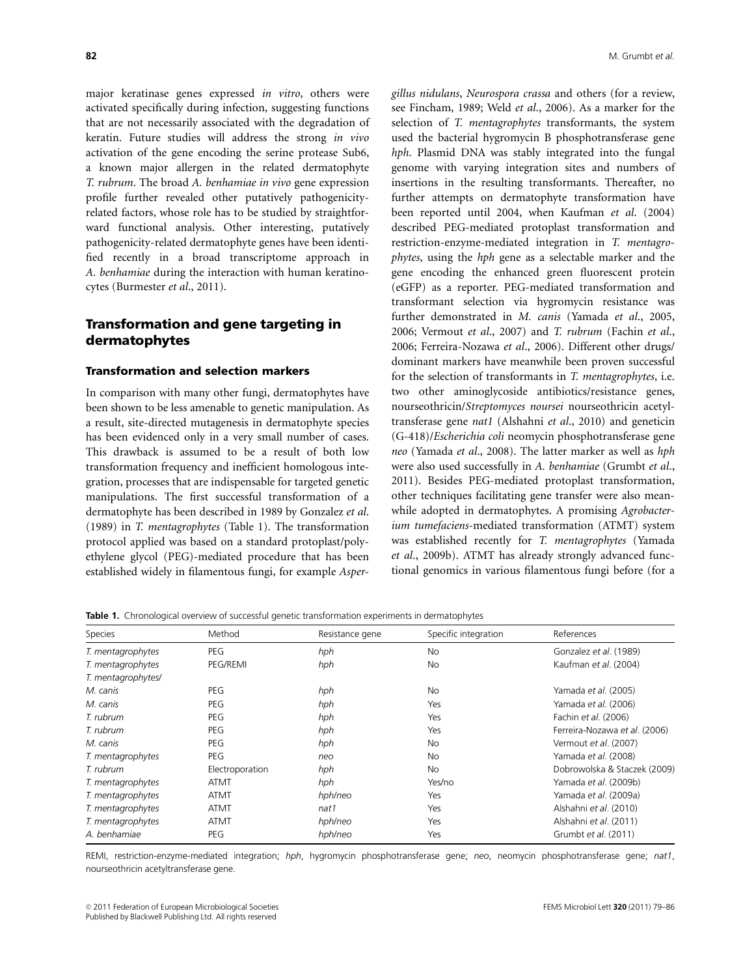major keratinase genes expressed in vitro, others were activated specifically during infection, suggesting functions that are not necessarily associated with the degradation of keratin. Future studies will address the strong in vivo activation of the gene encoding the serine protease Sub6, a known major allergen in the related dermatophyte T. rubrum. The broad A. benhamiae in vivo gene expression profile further revealed other putatively pathogenicityrelated factors, whose role has to be studied by straightforward functional analysis. Other interesting, putatively pathogenicity-related dermatophyte genes have been identified recently in a broad transcriptome approach in A. benhamiae during the interaction with human keratinocytes (Burmester et al., 2011).

### Transformation and gene targeting in dermatophytes

### Transformation and selection markers

In comparison with many other fungi, dermatophytes have been shown to be less amenable to genetic manipulation. As a result, site-directed mutagenesis in dermatophyte species has been evidenced only in a very small number of cases. This drawback is assumed to be a result of both low transformation frequency and inefficient homologous integration, processes that are indispensable for targeted genetic manipulations. The first successful transformation of a dermatophyte has been described in 1989 by Gonzalez et al. (1989) in T. mentagrophytes (Table 1). The transformation protocol applied was based on a standard protoplast/polyethylene glycol (PEG)-mediated procedure that has been established widely in filamentous fungi, for example Aspergillus nidulans, Neurospora crassa and others (for a review, see Fincham, 1989; Weld et al., 2006). As a marker for the selection of *T. mentagrophytes* transformants, the system used the bacterial hygromycin B phosphotransferase gene hph. Plasmid DNA was stably integrated into the fungal genome with varying integration sites and numbers of insertions in the resulting transformants. Thereafter, no further attempts on dermatophyte transformation have been reported until 2004, when Kaufman et al. (2004) described PEG-mediated protoplast transformation and restriction-enzyme-mediated integration in T. mentagrophytes, using the hph gene as a selectable marker and the gene encoding the enhanced green fluorescent protein (eGFP) as a reporter. PEG-mediated transformation and transformant selection via hygromycin resistance was further demonstrated in M. canis (Yamada et al., 2005, 2006; Vermout et al., 2007) and T. rubrum (Fachin et al., 2006; Ferreira-Nozawa et al., 2006). Different other drugs/ dominant markers have meanwhile been proven successful for the selection of transformants in T. mentagrophytes, i.e. two other aminoglycoside antibiotics/resistance genes, nourseothricin/Streptomyces noursei nourseothricin acetyltransferase gene nat1 (Alshahni et al., 2010) and geneticin (G-418)/Escherichia coli neomycin phosphotransferase gene neo (Yamada et al., 2008). The latter marker as well as hph were also used successfully in A. benhamiae (Grumbt et al., 2011). Besides PEG-mediated protoplast transformation, other techniques facilitating gene transfer were also meanwhile adopted in dermatophytes. A promising Agrobacterium tumefaciens-mediated transformation (ATMT) system was established recently for T. mentagrophytes (Yamada et al., 2009b). ATMT has already strongly advanced functional genomics in various filamentous fungi before (for a

Table 1. Chronological overview of successful genetic transformation experiments in dermatophytes

| Species            | Method          | Resistance gene | Specific integration | References                    |
|--------------------|-----------------|-----------------|----------------------|-------------------------------|
| T. mentagrophytes  | <b>PEG</b>      | hph             | <b>No</b>            | Gonzalez et al. (1989)        |
| T. mentagrophytes  | <b>PEG/REMI</b> | hph             | <b>No</b>            | Kaufman et al. (2004)         |
| T. mentagrophytes/ |                 |                 |                      |                               |
| M. canis           | <b>PEG</b>      | hph             | <b>No</b>            | Yamada et al. (2005)          |
| M. canis           | <b>PEG</b>      | hph             | Yes                  | Yamada et al. (2006)          |
| T. rubrum          | <b>PEG</b>      | hph             | Yes                  | Fachin et al. (2006)          |
| T. rubrum          | <b>PEG</b>      | hph             | Yes                  | Ferreira-Nozawa et al. (2006) |
| M. canis           | <b>PEG</b>      | hph             | No                   | Vermout et al. (2007)         |
| T. mentagrophytes  | PEG             | neo             | No                   | Yamada et al. (2008)          |
| T. rubrum          | Electroporation | hph             | <b>No</b>            | Dobrowolska & Staczek (2009)  |
| T. mentagrophytes  | <b>ATMT</b>     | hph             | Yes/no               | Yamada et al. (2009b)         |
| T. mentagrophytes  | <b>ATMT</b>     | hph/neo         | Yes                  | Yamada et al. (2009a)         |
| T. mentagrophytes  | <b>ATMT</b>     | nat1            | Yes                  | Alshahni et al. (2010)        |
| T. mentagrophytes  | <b>ATMT</b>     | hph/neo         | Yes                  | Alshahni et al. (2011)        |
| A. benhamiae       | <b>PEG</b>      | hph/neo         | Yes                  | Grumbt et al. (2011)          |

REMI, restriction-enzyme-mediated integration; hph, hygromycin phosphotransferase gene; neo, neomycin phosphotransferase gene; nat1, nourseothricin acetyltransferase gene.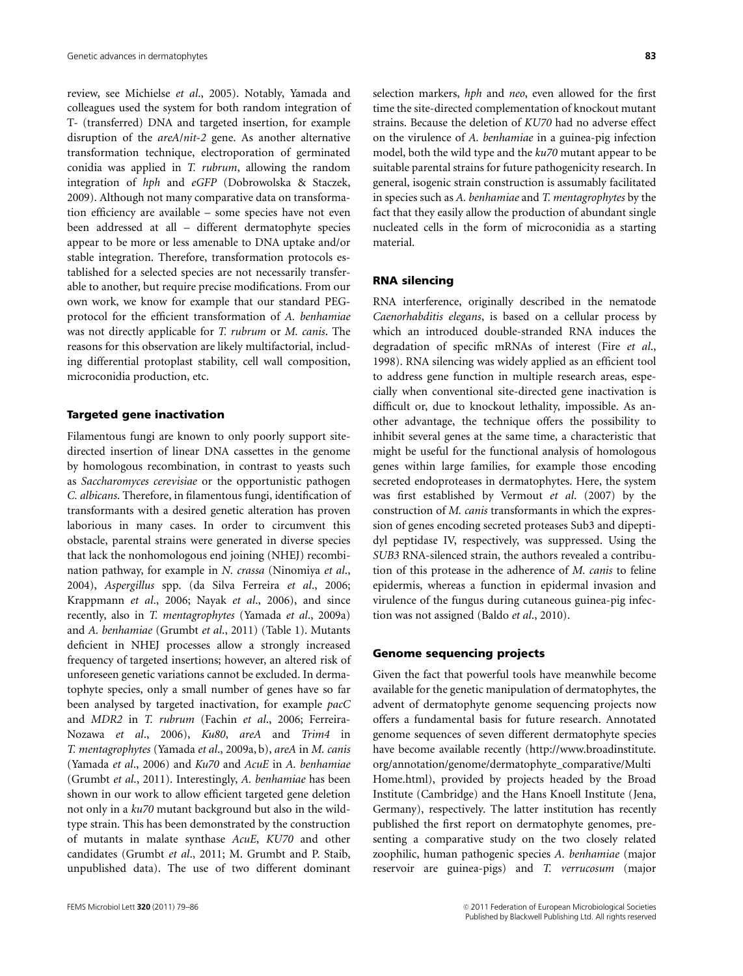review, see Michielse et al., 2005). Notably, Yamada and colleagues used the system for both random integration of T- (transferred) DNA and targeted insertion, for example disruption of the areA/nit-2 gene. As another alternative transformation technique, electroporation of germinated conidia was applied in T. rubrum, allowing the random integration of hph and eGFP (Dobrowolska & Staczek, 2009). Although not many comparative data on transformation efficiency are available – some species have not even been addressed at all – different dermatophyte species appear to be more or less amenable to DNA uptake and/or stable integration. Therefore, transformation protocols established for a selected species are not necessarily transferable to another, but require precise modifications. From our own work, we know for example that our standard PEGprotocol for the efficient transformation of A. benhamiae was not directly applicable for T. rubrum or M. canis. The reasons for this observation are likely multifactorial, including differential protoplast stability, cell wall composition, microconidia production, etc.

#### Targeted gene inactivation

Filamentous fungi are known to only poorly support sitedirected insertion of linear DNA cassettes in the genome by homologous recombination, in contrast to yeasts such as Saccharomyces cerevisiae or the opportunistic pathogen C. albicans. Therefore, in filamentous fungi, identification of transformants with a desired genetic alteration has proven laborious in many cases. In order to circumvent this obstacle, parental strains were generated in diverse species that lack the nonhomologous end joining (NHEJ) recombination pathway, for example in N. crassa (Ninomiya et al., 2004), Aspergillus spp. (da Silva Ferreira et al., 2006; Krappmann et al., 2006; Nayak et al., 2006), and since recently, also in T. mentagrophytes (Yamada et al., 2009a) and A. benhamiae (Grumbt et al., 2011) (Table 1). Mutants deficient in NHEJ processes allow a strongly increased frequency of targeted insertions; however, an altered risk of unforeseen genetic variations cannot be excluded. In dermatophyte species, only a small number of genes have so far been analysed by targeted inactivation, for example pacC and MDR2 in T. rubrum (Fachin et al., 2006; Ferreira-Nozawa et al., 2006), Ku80, areA and Trim4 in T. mentagrophytes (Yamada et al., 2009a, b), areA in M. canis (Yamada et al., 2006) and Ku70 and AcuE in A. benhamiae (Grumbt et al., 2011). Interestingly, A. benhamiae has been shown in our work to allow efficient targeted gene deletion not only in a ku70 mutant background but also in the wildtype strain. This has been demonstrated by the construction of mutants in malate synthase AcuE, KU70 and other candidates (Grumbt et al., 2011; M. Grumbt and P. Staib, unpublished data). The use of two different dominant

selection markers, hph and neo, even allowed for the first time the site-directed complementation of knockout mutant strains. Because the deletion of KU70 had no adverse effect on the virulence of A. benhamiae in a guinea-pig infection model, both the wild type and the ku70 mutant appear to be suitable parental strains for future pathogenicity research. In general, isogenic strain construction is assumably facilitated in species such as A. benhamiae and T. mentagrophytes by the fact that they easily allow the production of abundant single nucleated cells in the form of microconidia as a starting material.

### RNA silencing

RNA interference, originally described in the nematode Caenorhabditis elegans, is based on a cellular process by which an introduced double-stranded RNA induces the degradation of specific mRNAs of interest (Fire et al., 1998). RNA silencing was widely applied as an efficient tool to address gene function in multiple research areas, especially when conventional site-directed gene inactivation is difficult or, due to knockout lethality, impossible. As another advantage, the technique offers the possibility to inhibit several genes at the same time, a characteristic that might be useful for the functional analysis of homologous genes within large families, for example those encoding secreted endoproteases in dermatophytes. Here, the system was first established by Vermout et al. (2007) by the construction of M. canis transformants in which the expression of genes encoding secreted proteases Sub3 and dipeptidyl peptidase IV, respectively, was suppressed. Using the SUB3 RNA-silenced strain, the authors revealed a contribution of this protease in the adherence of M. canis to feline epidermis, whereas a function in epidermal invasion and virulence of the fungus during cutaneous guinea-pig infection was not assigned (Baldo *et al.*, 2010).

#### Genome sequencing projects

Given the fact that powerful tools have meanwhile become available for the genetic manipulation of dermatophytes, the advent of dermatophyte genome sequencing projects now offers a fundamental basis for future research. Annotated genome sequences of seven different dermatophyte species have become available recently ([http://www.broadinstitute.](http://www.broadinstitute.org/annotation/genome/dermatophyte_comparative/MultiHome.html) [org/annotation/genome/dermatophyte\\_comparative/Multi](http://www.broadinstitute.org/annotation/genome/dermatophyte_comparative/MultiHome.html) [Home.html](http://www.broadinstitute.org/annotation/genome/dermatophyte_comparative/MultiHome.html)), provided by projects headed by the Broad Institute (Cambridge) and the Hans Knoell Institute (Jena, Germany), respectively. The latter institution has recently published the first report on dermatophyte genomes, presenting a comparative study on the two closely related zoophilic, human pathogenic species A. benhamiae (major reservoir are guinea-pigs) and T. verrucosum (major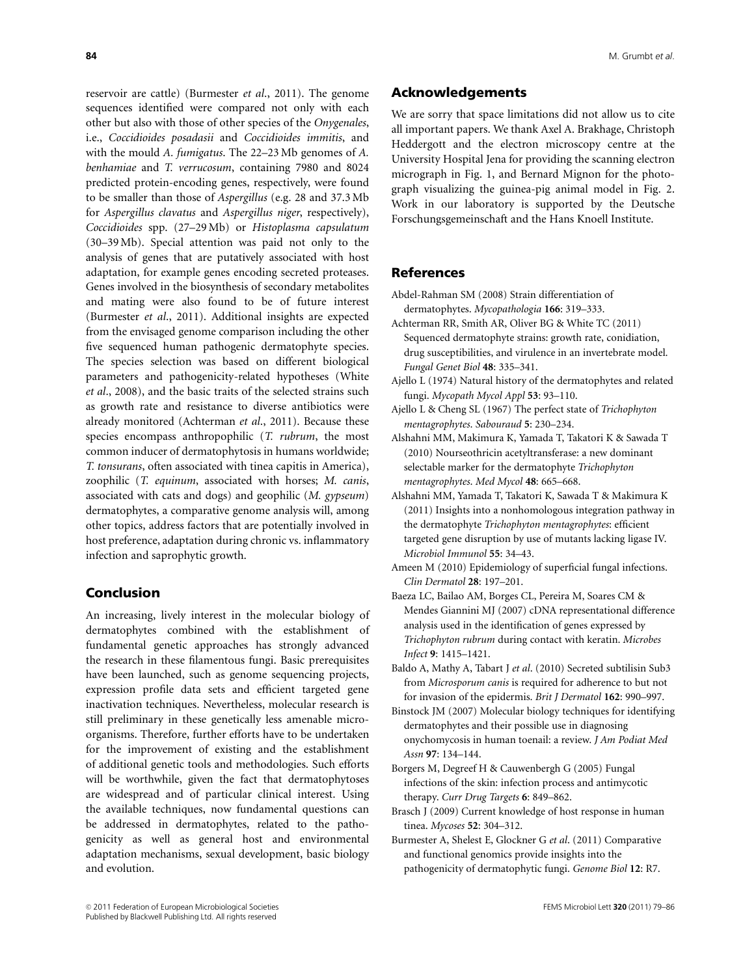reservoir are cattle) (Burmester et al., 2011). The genome sequences identified were compared not only with each other but also with those of other species of the Onygenales, i.e., Coccidioides posadasii and Coccidioides immitis, and with the mould A. fumigatus. The 22–23 Mb genomes of A. benhamiae and T. verrucosum, containing 7980 and 8024 predicted protein-encoding genes, respectively, were found to be smaller than those of Aspergillus (e.g. 28 and 37.3 Mb for Aspergillus clavatus and Aspergillus niger, respectively), Coccidioides spp. (27–29 Mb) or Histoplasma capsulatum (30–39 Mb). Special attention was paid not only to the analysis of genes that are putatively associated with host adaptation, for example genes encoding secreted proteases. Genes involved in the biosynthesis of secondary metabolites and mating were also found to be of future interest (Burmester et al., 2011). Additional insights are expected from the envisaged genome comparison including the other five sequenced human pathogenic dermatophyte species. The species selection was based on different biological parameters and pathogenicity-related hypotheses (White et al., 2008), and the basic traits of the selected strains such as growth rate and resistance to diverse antibiotics were already monitored (Achterman et al., 2011). Because these species encompass anthropophilic (T. rubrum, the most common inducer of dermatophytosis in humans worldwide; T. tonsurans, often associated with tinea capitis in America), zoophilic (T. equinum, associated with horses; M. canis, associated with cats and dogs) and geophilic (M. gypseum) dermatophytes, a comparative genome analysis will, among other topics, address factors that are potentially involved in host preference, adaptation during chronic vs. inflammatory infection and saprophytic growth.

## Conclusion

An increasing, lively interest in the molecular biology of dermatophytes combined with the establishment of fundamental genetic approaches has strongly advanced the research in these filamentous fungi. Basic prerequisites have been launched, such as genome sequencing projects, expression profile data sets and efficient targeted gene inactivation techniques. Nevertheless, molecular research is still preliminary in these genetically less amenable microorganisms. Therefore, further efforts have to be undertaken for the improvement of existing and the establishment of additional genetic tools and methodologies. Such efforts will be worthwhile, given the fact that dermatophytoses are widespread and of particular clinical interest. Using the available techniques, now fundamental questions can be addressed in dermatophytes, related to the pathogenicity as well as general host and environmental adaptation mechanisms, sexual development, basic biology and evolution.

### Acknowledgements

We are sorry that space limitations did not allow us to cite all important papers. We thank Axel A. Brakhage, Christoph Heddergott and the electron microscopy centre at the University Hospital Jena for providing the scanning electron micrograph in Fig. 1, and Bernard Mignon for the photograph visualizing the guinea-pig animal model in Fig. 2. Work in our laboratory is supported by the Deutsche Forschungsgemeinschaft and the Hans Knoell Institute.

## References

- Abdel-Rahman SM (2008) Strain differentiation of dermatophytes. Mycopathologia 166: 319–333.
- Achterman RR, Smith AR, Oliver BG & White TC (2011) Sequenced dermatophyte strains: growth rate, conidiation, drug susceptibilities, and virulence in an invertebrate model. Fungal Genet Biol 48: 335–341.
- Ajello L (1974) Natural history of the dermatophytes and related fungi. Mycopath Mycol Appl 53: 93–110.
- Ajello L & Cheng SL (1967) The perfect state of Trichophyton mentagrophytes. Sabouraud 5: 230–234.
- Alshahni MM, Makimura K, Yamada T, Takatori K & Sawada T (2010) Nourseothricin acetyltransferase: a new dominant selectable marker for the dermatophyte Trichophyton mentagrophytes. Med Mycol 48: 665–668.
- Alshahni MM, Yamada T, Takatori K, Sawada T & Makimura K (2011) Insights into a nonhomologous integration pathway in the dermatophyte Trichophyton mentagrophytes: efficient targeted gene disruption by use of mutants lacking ligase IV. Microbiol Immunol 55: 34–43.
- Ameen M (2010) Epidemiology of superficial fungal infections. Clin Dermatol 28: 197–201.
- Baeza LC, Bailao AM, Borges CL, Pereira M, Soares CM & Mendes Giannini MJ (2007) cDNA representational difference analysis used in the identification of genes expressed by Trichophyton rubrum during contact with keratin. Microbes Infect 9: 1415–1421.
- Baldo A, Mathy A, Tabart J et al. (2010) Secreted subtilisin Sub3 from Microsporum canis is required for adherence to but not for invasion of the epidermis. Brit J Dermatol 162: 990–997.
- Binstock JM (2007) Molecular biology techniques for identifying dermatophytes and their possible use in diagnosing onychomycosis in human toenail: a review. J Am Podiat Med Assn 97: 134–144.
- Borgers M, Degreef H & Cauwenbergh G (2005) Fungal infections of the skin: infection process and antimycotic therapy. Curr Drug Targets 6: 849–862.
- Brasch J (2009) Current knowledge of host response in human tinea. Mycoses 52: 304–312.
- Burmester A, Shelest E, Glockner G et al. (2011) Comparative and functional genomics provide insights into the pathogenicity of dermatophytic fungi. Genome Biol 12: R7.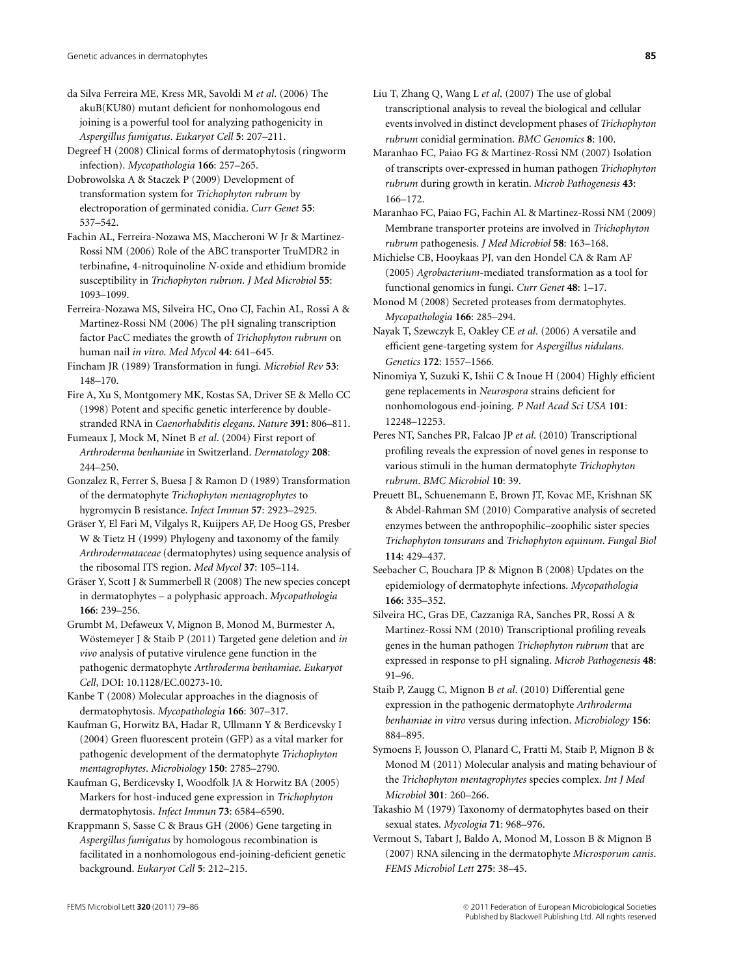da Silva Ferreira ME, Kress MR, Savoldi M et al. (2006) The akuB(KU80) mutant deficient for nonhomologous end joining is a powerful tool for analyzing pathogenicity in Aspergillus fumigatus. Eukaryot Cell 5: 207–211.

Degreef H (2008) Clinical forms of dermatophytosis (ringworm infection). Mycopathologia 166: 257–265.

Dobrowolska A & Staczek P (2009) Development of transformation system for Trichophyton rubrum by electroporation of germinated conidia. Curr Genet 55: 537–542.

Fachin AL, Ferreira-Nozawa MS, Maccheroni W Jr & Martinez-Rossi NM (2006) Role of the ABC transporter TruMDR2 in terbinafine, 4-nitroquinoline N-oxide and ethidium bromide susceptibility in Trichophyton rubrum. J Med Microbiol 55: 1093–1099.

Ferreira-Nozawa MS, Silveira HC, Ono CJ, Fachin AL, Rossi A & Martinez-Rossi NM (2006) The pH signaling transcription factor PacC mediates the growth of Trichophyton rubrum on human nail in vitro. Med Mycol 44: 641–645.

Fincham JR (1989) Transformation in fungi. Microbiol Rev 53: 148–170.

Fire A, Xu S, Montgomery MK, Kostas SA, Driver SE & Mello CC (1998) Potent and specific genetic interference by doublestranded RNA in Caenorhabditis elegans. Nature 391: 806–811.

Fumeaux J, Mock M, Ninet B et al. (2004) First report of Arthroderma benhamiae in Switzerland. Dermatology 208: 244–250.

Gonzalez R, Ferrer S, Buesa J & Ramon D (1989) Transformation of the dermatophyte Trichophyton mentagrophytes to hygromycin B resistance. Infect Immun 57: 2923–2925.

Graser Y, El Fari M, Vilgalys R, Kuijpers AF, De Hoog GS, Presber ¨ W & Tietz H (1999) Phylogeny and taxonomy of the family Arthrodermataceae (dermatophytes) using sequence analysis of the ribosomal ITS region. Med Mycol 37: 105–114.

Gräser Y, Scott J & Summerbell R (2008) The new species concept in dermatophytes – a polyphasic approach. Mycopathologia 166: 239–256.

Grumbt M, Defaweux V, Mignon B, Monod M, Burmester A, Wöstemeyer J & Staib P (2011) Targeted gene deletion and in vivo analysis of putative virulence gene function in the pathogenic dermatophyte Arthroderma benhamiae. Eukaryot Cell, DOI: 10.1128/EC.00273-10.

Kanbe T (2008) Molecular approaches in the diagnosis of dermatophytosis. Mycopathologia 166: 307–317.

Kaufman G, Horwitz BA, Hadar R, Ullmann Y & Berdicevsky I (2004) Green fluorescent protein (GFP) as a vital marker for pathogenic development of the dermatophyte Trichophyton mentagrophytes. Microbiology 150: 2785–2790.

Kaufman G, Berdicevsky I, Woodfolk JA & Horwitz BA (2005) Markers for host-induced gene expression in Trichophyton dermatophytosis. Infect Immun 73: 6584–6590.

Krappmann S, Sasse C & Braus GH (2006) Gene targeting in Aspergillus fumigatus by homologous recombination is facilitated in a nonhomologous end-joining-deficient genetic background. Eukaryot Cell 5: 212–215.

Liu T, Zhang Q, Wang L et al. (2007) The use of global transcriptional analysis to reveal the biological and cellular events involved in distinct development phases of Trichophyton rubrum conidial germination. BMC Genomics 8: 100.

Maranhao FC, Paiao FG & Martinez-Rossi NM (2007) Isolation of transcripts over-expressed in human pathogen Trichophyton rubrum during growth in keratin. Microb Pathogenesis 43: 166–172.

Maranhao FC, Paiao FG, Fachin AL & Martinez-Rossi NM (2009) Membrane transporter proteins are involved in Trichophyton rubrum pathogenesis. J Med Microbiol 58: 163–168.

Michielse CB, Hooykaas PJ, van den Hondel CA & Ram AF (2005) Agrobacterium-mediated transformation as a tool for functional genomics in fungi. Curr Genet 48: 1–17.

Monod M (2008) Secreted proteases from dermatophytes. Mycopathologia 166: 285–294.

Nayak T, Szewczyk E, Oakley CE et al. (2006) A versatile and efficient gene-targeting system for Aspergillus nidulans. Genetics 172: 1557–1566.

- Ninomiya Y, Suzuki K, Ishii C & Inoue H (2004) Highly efficient gene replacements in Neurospora strains deficient for nonhomologous end-joining. P Natl Acad Sci USA 101: 12248–12253.
- Peres NT, Sanches PR, Falcao JP et al. (2010) Transcriptional profiling reveals the expression of novel genes in response to various stimuli in the human dermatophyte Trichophyton rubrum. BMC Microbiol 10: 39.
- Preuett BL, Schuenemann E, Brown JT, Kovac ME, Krishnan SK & Abdel-Rahman SM (2010) Comparative analysis of secreted enzymes between the anthropophilic–zoophilic sister species Trichophyton tonsurans and Trichophyton equinum. Fungal Biol 114: 429–437.

Seebacher C, Bouchara JP & Mignon B (2008) Updates on the epidemiology of dermatophyte infections. Mycopathologia 166: 335–352.

Silveira HC, Gras DE, Cazzaniga RA, Sanches PR, Rossi A & Martinez-Rossi NM (2010) Transcriptional profiling reveals genes in the human pathogen Trichophyton rubrum that are expressed in response to pH signaling. Microb Pathogenesis 48: 91–96.

Staib P, Zaugg C, Mignon B et al. (2010) Differential gene expression in the pathogenic dermatophyte Arthroderma benhamiae in vitro versus during infection. Microbiology 156: 884–895.

Symoens F, Jousson O, Planard C, Fratti M, Staib P, Mignon B & Monod M (2011) Molecular analysis and mating behaviour of the Trichophyton mentagrophytes species complex. Int J Med Microbiol 301: 260–266.

Takashio M (1979) Taxonomy of dermatophytes based on their sexual states. Mycologia 71: 968–976.

Vermout S, Tabart J, Baldo A, Monod M, Losson B & Mignon B (2007) RNA silencing in the dermatophyte Microsporum canis. FEMS Microbiol Lett 275: 38–45.